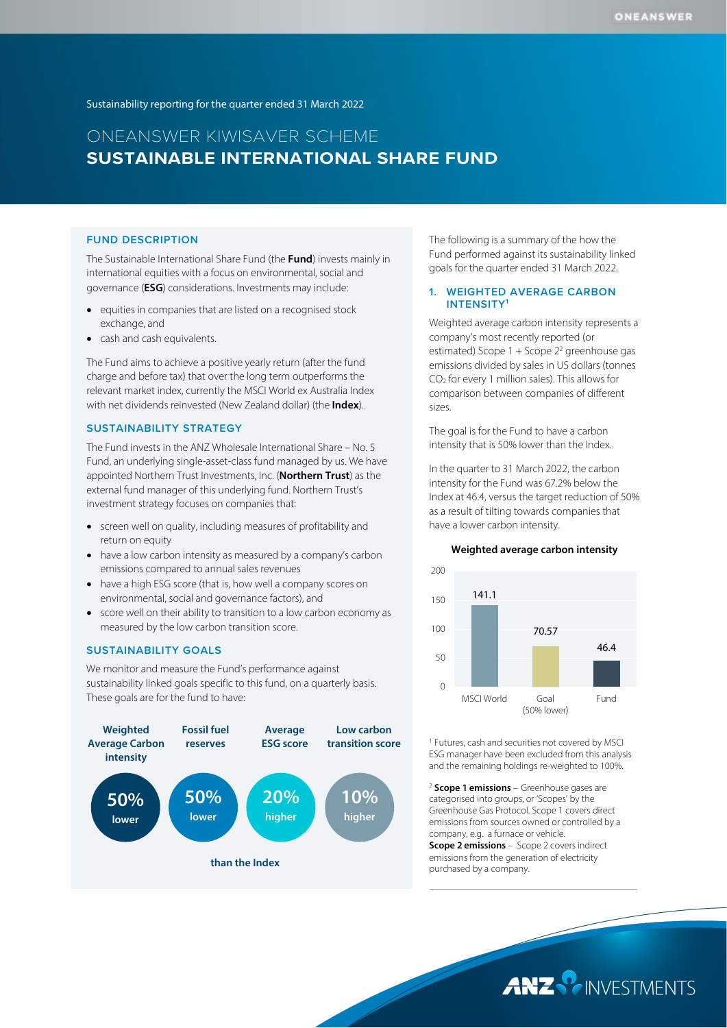Sustainability reporting for the quarter ended 31 March 2022

# ONEANSWER KIWISAVER SCHEME **SUSTAINABLE INTERNATIONAL SHARE FUND**

#### **FUND DESCRIPTION**

The Sustainable International Share Fund (the **Fund**) invests mainly in international equities with a focus on environmental, social and governance (**ESG**) considerations. Investments may include:

- equities in companies that are listed on a recognised stock exchange, and
- cash and cash equivalents.

The Fund aims to achieve a positive yearly return (after the fund charge and before tax) that over the long term outperforms the relevant market index, currently the MSCI World ex Australia Index with net dividends reinvested (New Zealand dollar) (the **Index**).

#### **SUSTAINABILITY STRATEGY**

The Fund invests in the ANZ Wholesale International Share – No. 5 Fund, an underlying single-asset-class fund managed by us. We have appointed Northern Trust Investments, Inc. (**Northern Trust**) as the external fund manager of this underlying fund. Northern Trust's investment strategy focuses on companies that:

- screen well on quality, including measures of profitability and return on equity
- have a low carbon intensity as measured by a company's carbon emissions compared to annual sales revenues
- have a high ESG score (that is, how well a company scores on environmental, social and governance factors), and
- score well on their ability to transition to a low carbon economy as measured by the low carbon transition score.

#### **SUSTAINABILITY GOALS**

We monitor and measure the Fund's performance against sustainability linked goals specific to this fund, on a quarterly basis. These goals are for the fund to have:



The following is a summary of the how the Fund performed against its sustainability linked goals for the quarter ended 31 March 2022.

#### **1. WEIGHTED AVERAGE CARBON INTENSITY1**

Weighted average carbon intensity represents a company's most recently reported (or estimated) Scope  $1 +$  Scope  $2<sup>2</sup>$  greenhouse gas emissions divided by sales in US dollars (tonnes CO2 for every 1 million sales). This allows for comparison between companies of different sizes.

The goal is for the Fund to have a carbon intensity that is 50% lower than the Index.

In the quarter to 31 March 2022, the carbon intensity for the Fund was 67.2% below the Index at 46.4, versus the target reduction of 50% as a result of tilting towards companies that have a lower carbon intensity.

#### **Weighted average carbon intensity**



<sup>1</sup> Futures, cash and securities not covered by MSCI ESG manager have been excluded from this analysis and the remaining holdings re-weighted to 100%.

<sup>2</sup> **Scope 1 emissions** – Greenhouse gases are categorised into groups, or 'Scopes' by the Greenhouse Gas Protocol. Scope 1 covers direct emissions from sources owned or controlled by a company, e.g. a furnace or vehicle. **Scope 2 emissions** – Scope 2 covers indirect emissions from the generation of electricity purchased by a company.

ANZ PINVESTMENTS